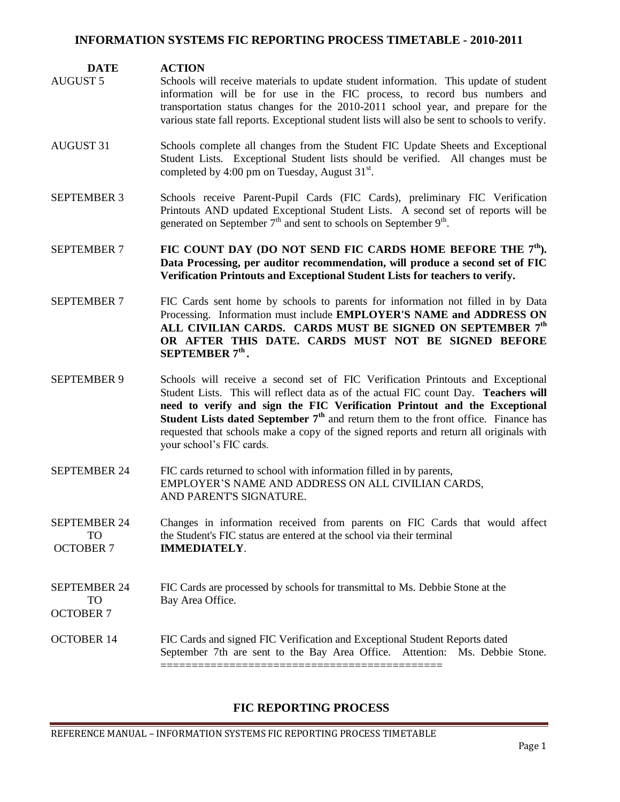#### **INFORMATION SYSTEMS FIC REPORTING PROCESS TIMETABLE - 2010-2011**

#### **DATE ACTION**

- AUGUST 5 Schools will receive materials to update student information. This update of student information will be for use in the FIC process, to record bus numbers and transportation status changes for the 2010-2011 school year, and prepare for the various state fall reports. Exceptional student lists will also be sent to schools to verify.
- AUGUST 31 Schools complete all changes from the Student FIC Update Sheets and Exceptional Student Lists. Exceptional Student lists should be verified. All changes must be completed by 4:00 pm on Tuesday, August  $31^{st}$ .
- SEPTEMBER 3 Schools receive Parent-Pupil Cards (FIC Cards), preliminary FIC Verification Printouts AND updated Exceptional Student Lists. A second set of reports will be generated on September  $7<sup>th</sup>$  and sent to schools on September  $9<sup>th</sup>$ .
- SEPTEMBER 7 **FIC COUNT DAY (DO NOT SEND FIC CARDS HOME BEFORE THE 7<sup>th</sup>). Data Processing, per auditor recommendation, will produce a second set of FIC Verification Printouts and Exceptional Student Lists for teachers to verify.**
- SEPTEMBER 7 FIC Cards sent home by schools to parents for information not filled in by Data Processing. Information must include **EMPLOYER'S NAME and ADDRESS ON ALL CIVILIAN CARDS. CARDS MUST BE SIGNED ON SEPTEMBER 7 th OR AFTER THIS DATE. CARDS MUST NOT BE SIGNED BEFORE SEPTEMBER 7 th .**
- SEPTEMBER 9 Schools will receive a second set of FIC Verification Printouts and Exceptional Student Lists. This will reflect data as of the actual FIC count Day. **Teachers will need to verify and sign the FIC Verification Printout and the Exceptional Student Lists dated September 7th** and return them to the front office. Finance has requested that schools make a copy of the signed reports and return all originals with your school's FIC cards.
- SEPTEMBER 24 FIC cards returned to school with information filled in by parents, EMPLOYER'S NAME AND ADDRESS ON ALL CIVILIAN CARDS, AND PARENT'S SIGNATURE.
- SEPTEMBER 24 Changes in information received from parents on FIC Cards that would affect TO the Student's FIC status are entered at the school via their terminal OCTOBER 7 **IMMEDIATELY**.

#### SEPTEMBER 24 FIC Cards are processed by schools for transmittal to Ms. Debbie Stone at the TO Bay Area Office. OCTOBER 7

#### OCTOBER 14 FIC Cards and signed FIC Verification and Exceptional Student Reports dated September 7th are sent to the Bay Area Office. Attention: Ms. Debbie Stone. =============================================

## **FIC REPORTING PROCESS**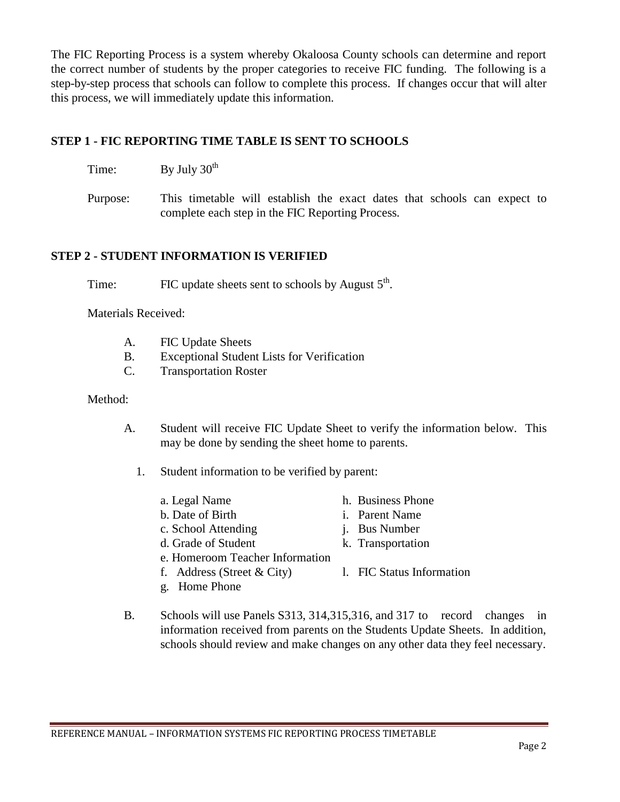The FIC Reporting Process is a system whereby Okaloosa County schools can determine and report the correct number of students by the proper categories to receive FIC funding. The following is a step-by-step process that schools can follow to complete this process. If changes occur that will alter this process, we will immediately update this information.

## **STEP 1 - FIC REPORTING TIME TABLE IS SENT TO SCHOOLS**

| By July 30 <sup>th</sup> |  |
|--------------------------|--|
|                          |  |

Purpose: This timetable will establish the exact dates that schools can expect to complete each step in the FIC Reporting Process.

## **STEP 2 - STUDENT INFORMATION IS VERIFIED**

Time: FIC update sheets sent to schools by August  $5<sup>th</sup>$ .

Materials Received:

| А. | FIC Update Sheets |
|----|-------------------|
|----|-------------------|

- B. Exceptional Student Lists for Verification
- C. Transportation Roster

#### Method:

A. Student will receive FIC Update Sheet to verify the information below. This may be done by sending the sheet home to parents.

1. Student information to be verified by parent:

- a. Legal Name h. Business Phone b. Date of Birth i. Parent Name c. School Attending i. Bus Number d. Grade of Student k. Transportation e. Homeroom Teacher Information f. Address (Street  $& City$ ) l. FIC Status Information g. Home Phone
- B. Schools will use Panels S313, 314,315,316, and 317 to record changes in information received from parents on the Students Update Sheets. In addition, schools should review and make changes on any other data they feel necessary.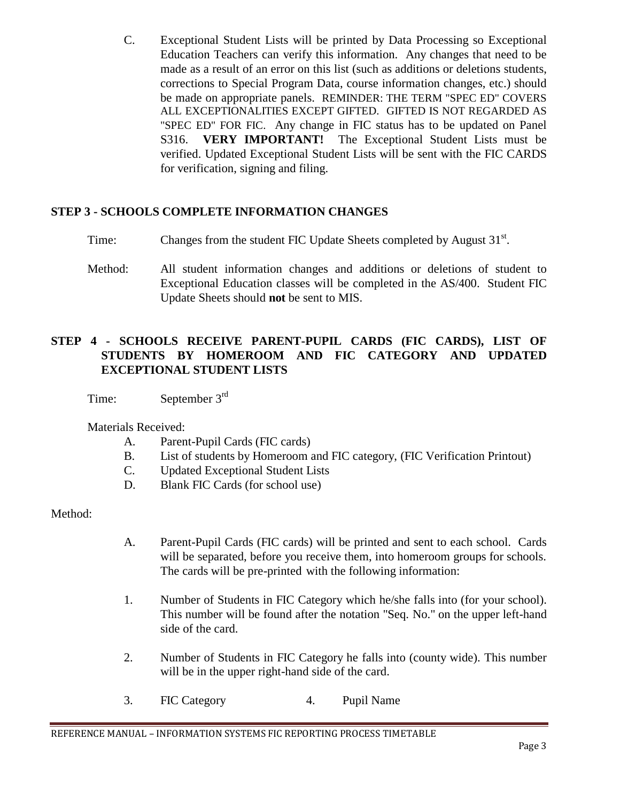C. Exceptional Student Lists will be printed by Data Processing so Exceptional Education Teachers can verify this information. Any changes that need to be made as a result of an error on this list (such as additions or deletions students, corrections to Special Program Data, course information changes, etc.) should be made on appropriate panels. REMINDER: THE TERM "SPEC ED" COVERS ALL EXCEPTIONALITIES EXCEPT GIFTED. GIFTED IS NOT REGARDED AS "SPEC ED" FOR FIC. Any change in FIC status has to be updated on Panel S316. **VERY IMPORTANT!** The Exceptional Student Lists must be verified. Updated Exceptional Student Lists will be sent with the FIC CARDS for verification, signing and filing.

# **STEP 3 - SCHOOLS COMPLETE INFORMATION CHANGES**

- Time: Changes from the student FIC Update Sheets completed by August 31<sup>st</sup>.
- Method: All student information changes and additions or deletions of student to Exceptional Education classes will be completed in the AS/400. Student FIC Update Sheets should **not** be sent to MIS.

# **STEP 4 - SCHOOLS RECEIVE PARENT-PUPIL CARDS (FIC CARDS), LIST OF STUDENTS BY HOMEROOM AND FIC CATEGORY AND UPDATED EXCEPTIONAL STUDENT LISTS**

Time: September 3<sup>rd</sup>

Materials Received:

- A. Parent-Pupil Cards (FIC cards)
- B. List of students by Homeroom and FIC category, (FIC Verification Printout)
- C. Updated Exceptional Student Lists
- D. Blank FIC Cards (for school use)

- A. Parent-Pupil Cards (FIC cards) will be printed and sent to each school. Cards will be separated, before you receive them, into homeroom groups for schools. The cards will be pre-printed with the following information:
- 1. Number of Students in FIC Category which he/she falls into (for your school). This number will be found after the notation "Seq. No." on the upper left-hand side of the card.
- 2. Number of Students in FIC Category he falls into (county wide). This number will be in the upper right-hand side of the card.
- 3. FIC Category 4. Pupil Name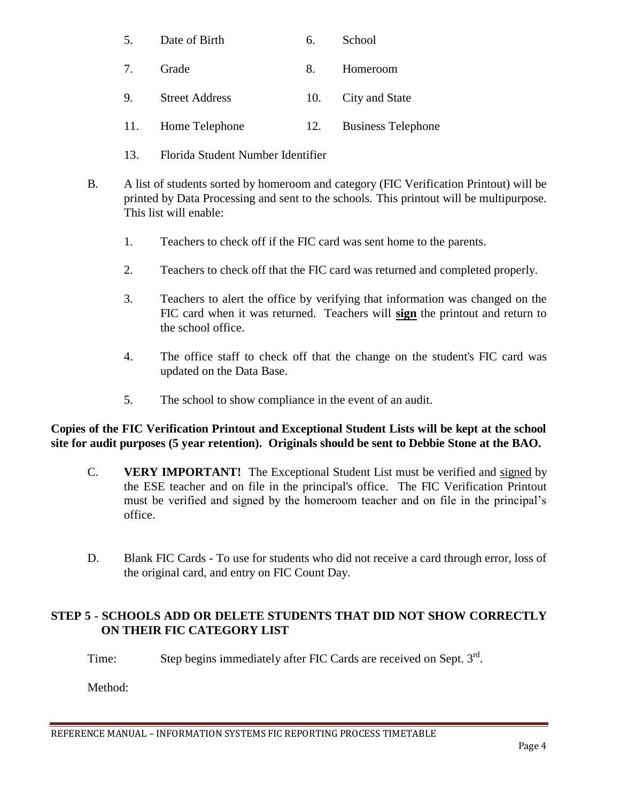|  |  | Date of Birth |  | School |
|--|--|---------------|--|--------|
|--|--|---------------|--|--------|

- 7. Grade 8. Homeroom
- 9. Street Address 10. City and State
- 11. Home Telephone 12. Business Telephone
- 13. Florida Student Number Identifier
- B. A list of students sorted by homeroom and category (FIC Verification Printout) will be printed by Data Processing and sent to the schools. This printout will be multipurpose. This list will enable:
	- 1. Teachers to check off if the FIC card was sent home to the parents.
	- 2. Teachers to check off that the FIC card was returned and completed properly.
	- 3. Teachers to alert the office by verifying that information was changed on the FIC card when it was returned. Teachers will **sign** the printout and return to the school office.
	- 4. The office staff to check off that the change on the student's FIC card was updated on the Data Base.
	- 5. The school to show compliance in the event of an audit.

# **Copies of the FIC Verification Printout and Exceptional Student Lists will be kept at the school site for audit purposes (5 year retention). Originals should be sent to Debbie Stone at the BAO.**

- C. **VERY IMPORTANT!** The Exceptional Student List must be verified and signed by the ESE teacher and on file in the principal's office. The FIC Verification Printout must be verified and signed by the homeroom teacher and on file in the principal's office.
- D. Blank FIC Cards To use for students who did not receive a card through error, loss of the original card, and entry on FIC Count Day.

# **STEP 5 - SCHOOLS ADD OR DELETE STUDENTS THAT DID NOT SHOW CORRECTLY ON THEIR FIC CATEGORY LIST**

Time: Step begins immediately after FIC Cards are received on Sept.  $3<sup>rd</sup>$ .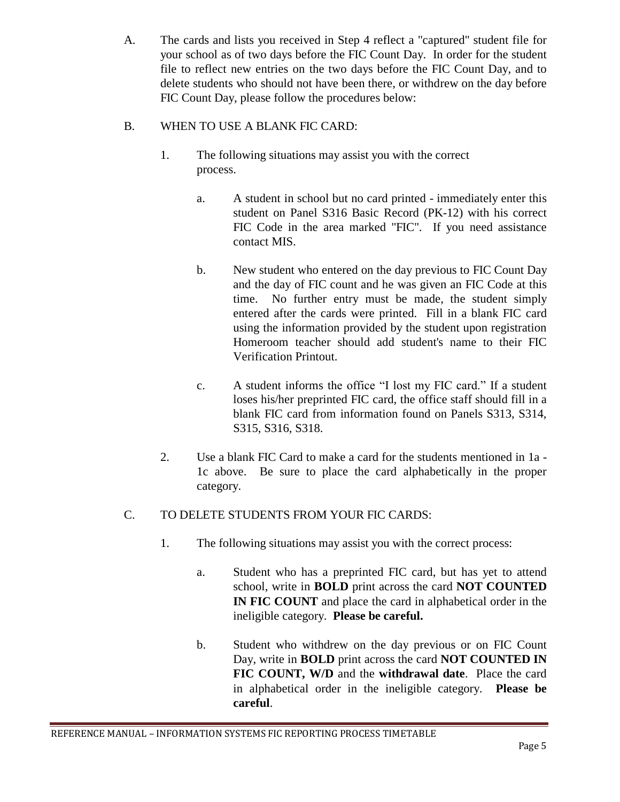A. The cards and lists you received in Step 4 reflect a "captured" student file for your school as of two days before the FIC Count Day. In order for the student file to reflect new entries on the two days before the FIC Count Day, and to delete students who should not have been there, or withdrew on the day before FIC Count Day, please follow the procedures below:

# B. WHEN TO USE A BLANK FIC CARD:

- 1. The following situations may assist you with the correct process.
	- a. A student in school but no card printed immediately enter this student on Panel S316 Basic Record (PK-12) with his correct FIC Code in the area marked "FIC". If you need assistance contact MIS.
	- b. New student who entered on the day previous to FIC Count Day and the day of FIC count and he was given an FIC Code at this time. No further entry must be made, the student simply entered after the cards were printed. Fill in a blank FIC card using the information provided by the student upon registration Homeroom teacher should add student's name to their FIC Verification Printout.
	- c. A student informs the office "I lost my FIC card." If a student loses his/her preprinted FIC card, the office staff should fill in a blank FIC card from information found on Panels S313, S314, S315, S316, S318.
- 2. Use a blank FIC Card to make a card for the students mentioned in 1a 1c above. Be sure to place the card alphabetically in the proper category.

# C. TO DELETE STUDENTS FROM YOUR FIC CARDS:

- 1. The following situations may assist you with the correct process:
	- a. Student who has a preprinted FIC card, but has yet to attend school, write in **BOLD** print across the card **NOT COUNTED IN FIC COUNT** and place the card in alphabetical order in the ineligible category. **Please be careful.**
	- b. Student who withdrew on the day previous or on FIC Count Day, write in **BOLD** print across the card **NOT COUNTED IN FIC COUNT, W/D** and the **withdrawal date**. Place the card in alphabetical order in the ineligible category. **Please be careful**.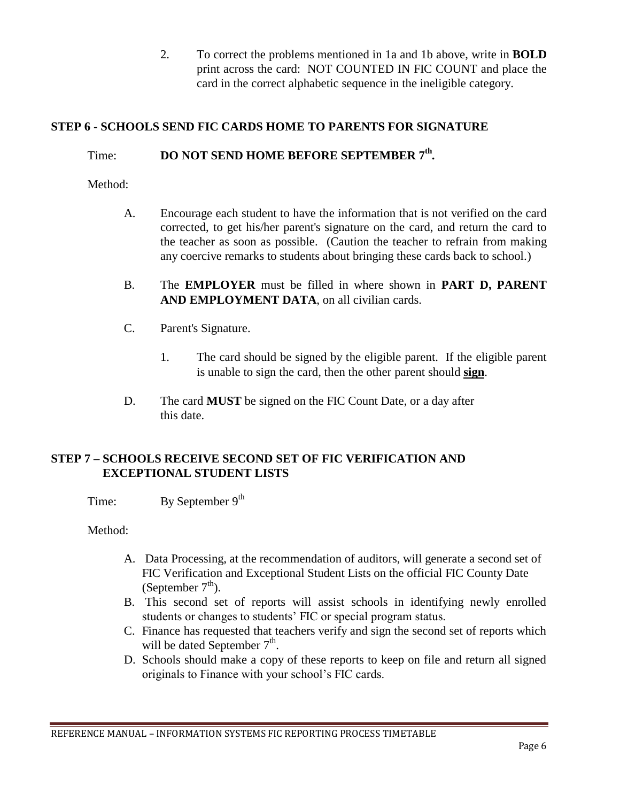2. To correct the problems mentioned in 1a and 1b above, write in **BOLD** print across the card: NOT COUNTED IN FIC COUNT and place the card in the correct alphabetic sequence in the ineligible category.

# **STEP 6 - SCHOOLS SEND FIC CARDS HOME TO PARENTS FOR SIGNATURE**

# Time: **DO NOT SEND HOME BEFORE SEPTEMBER 7<sup>th</sup>.**

Method:

- A. Encourage each student to have the information that is not verified on the card corrected, to get his/her parent's signature on the card, and return the card to the teacher as soon as possible. (Caution the teacher to refrain from making any coercive remarks to students about bringing these cards back to school.)
- B. The **EMPLOYER** must be filled in where shown in **PART D, PARENT AND EMPLOYMENT DATA**, on all civilian cards.
- C. Parent's Signature.
	- 1. The card should be signed by the eligible parent. If the eligible parent is unable to sign the card, then the other parent should **sign**.
- D. The card **MUST** be signed on the FIC Count Date, or a day after this date.

## **STEP 7 – SCHOOLS RECEIVE SECOND SET OF FIC VERIFICATION AND EXCEPTIONAL STUDENT LISTS**

Time: By September  $9<sup>th</sup>$ 

- A. Data Processing, at the recommendation of auditors, will generate a second set of FIC Verification and Exceptional Student Lists on the official FIC County Date (September  $7<sup>th</sup>$ ).
- B. This second set of reports will assist schools in identifying newly enrolled students or changes to students' FIC or special program status.
- C. Finance has requested that teachers verify and sign the second set of reports which will be dated September  $7<sup>th</sup>$ .
- D. Schools should make a copy of these reports to keep on file and return all signed originals to Finance with your school's FIC cards.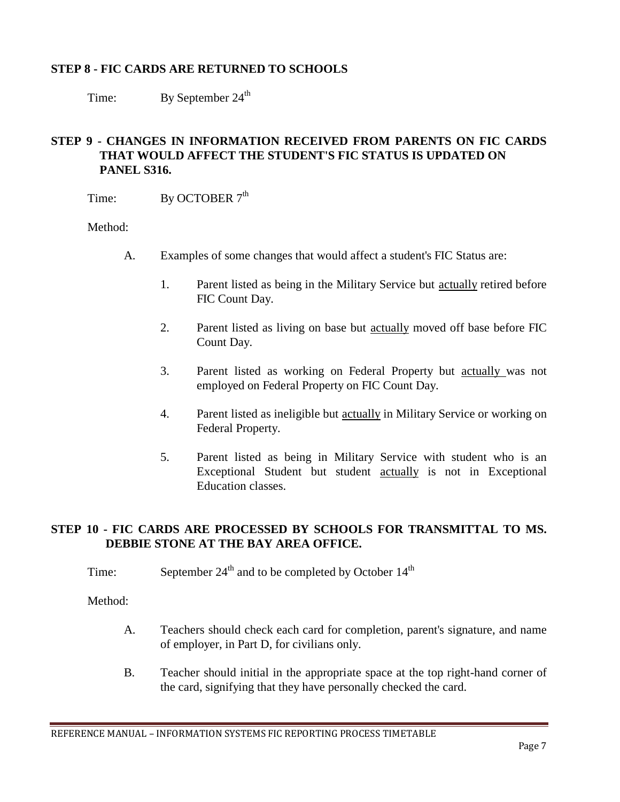### **STEP 8 - FIC CARDS ARE RETURNED TO SCHOOLS**

Time: By September 24<sup>th</sup>

## **STEP 9 - CHANGES IN INFORMATION RECEIVED FROM PARENTS ON FIC CARDS THAT WOULD AFFECT THE STUDENT'S FIC STATUS IS UPDATED ON PANEL S316.**

Time: By OCTOBER  $7<sup>th</sup>$ 

Method:

- A. Examples of some changes that would affect a student's FIC Status are:
	- 1. Parent listed as being in the Military Service but actually retired before FIC Count Day.
	- 2. Parent listed as living on base but actually moved off base before FIC Count Day.
	- 3. Parent listed as working on Federal Property but actually was not employed on Federal Property on FIC Count Day.
	- 4. Parent listed as ineligible but actually in Military Service or working on Federal Property.
	- 5. Parent listed as being in Military Service with student who is an Exceptional Student but student actually is not in Exceptional Education classes.

# **STEP 10 - FIC CARDS ARE PROCESSED BY SCHOOLS FOR TRANSMITTAL TO MS. DEBBIE STONE AT THE BAY AREA OFFICE.**

Time: September  $24<sup>th</sup>$  and to be completed by October  $14<sup>th</sup>$ 

- A. Teachers should check each card for completion, parent's signature, and name of employer, in Part D, for civilians only.
- B. Teacher should initial in the appropriate space at the top right-hand corner of the card, signifying that they have personally checked the card.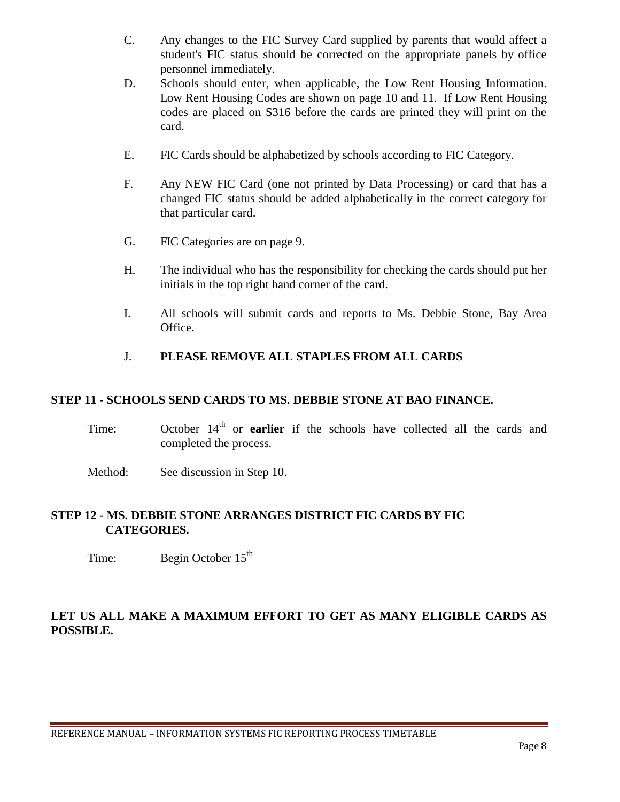- C. Any changes to the FIC Survey Card supplied by parents that would affect a student's FIC status should be corrected on the appropriate panels by office personnel immediately.
- D. Schools should enter, when applicable, the Low Rent Housing Information. Low Rent Housing Codes are shown on page 10 and 11. If Low Rent Housing codes are placed on S316 before the cards are printed they will print on the card.
- E. FIC Cards should be alphabetized by schools according to FIC Category.
- F. Any NEW FIC Card (one not printed by Data Processing) or card that has a changed FIC status should be added alphabetically in the correct category for that particular card.
- G. FIC Categories are on page 9.
- H. The individual who has the responsibility for checking the cards should put her initials in the top right hand corner of the card.
- I. All schools will submit cards and reports to Ms. Debbie Stone, Bay Area Office.

## J. **PLEASE REMOVE ALL STAPLES FROM ALL CARDS**

#### **STEP 11 - SCHOOLS SEND CARDS TO MS. DEBBIE STONE AT BAO FINANCE.**

- Time: October  $14<sup>th</sup>$  or **earlier** if the schools have collected all the cards and completed the process.
- Method: See discussion in Step 10.

## **STEP 12 - MS. DEBBIE STONE ARRANGES DISTRICT FIC CARDS BY FIC CATEGORIES.**

Time: Begin October 15<sup>th</sup>

## **LET US ALL MAKE A MAXIMUM EFFORT TO GET AS MANY ELIGIBLE CARDS AS POSSIBLE.**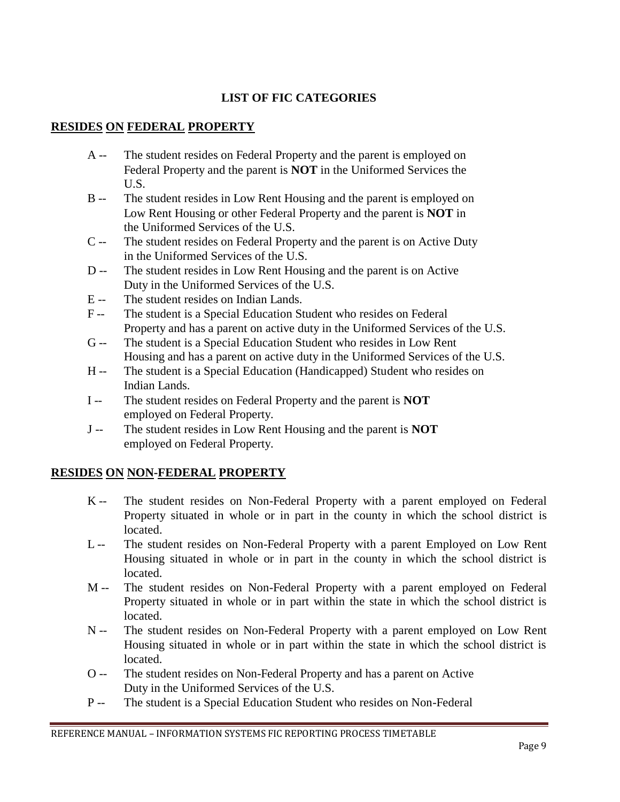# **LIST OF FIC CATEGORIES**

# **RESIDES ON FEDERAL PROPERTY**

- A -- The student resides on Federal Property and the parent is employed on Federal Property and the parent is **NOT** in the Uniformed Services the U.S.
- B -- The student resides in Low Rent Housing and the parent is employed on Low Rent Housing or other Federal Property and the parent is **NOT** in the Uniformed Services of the U.S.
- C -- The student resides on Federal Property and the parent is on Active Duty in the Uniformed Services of the U.S.
- D -- The student resides in Low Rent Housing and the parent is on Active Duty in the Uniformed Services of the U.S.
- E -- The student resides on Indian Lands.
- F -- The student is a Special Education Student who resides on Federal Property and has a parent on active duty in the Uniformed Services of the U.S.
- G -- The student is a Special Education Student who resides in Low Rent Housing and has a parent on active duty in the Uniformed Services of the U.S.
- H -- The student is a Special Education (Handicapped) Student who resides on Indian Lands.
- I -- The student resides on Federal Property and the parent is **NOT** employed on Federal Property.
- J -- The student resides in Low Rent Housing and the parent is **NOT** employed on Federal Property.

# **RESIDES ON NON-FEDERAL PROPERTY**

- K -- The student resides on Non-Federal Property with a parent employed on Federal Property situated in whole or in part in the county in which the school district is located.
- L -- The student resides on Non-Federal Property with a parent Employed on Low Rent Housing situated in whole or in part in the county in which the school district is located.
- M -- The student resides on Non-Federal Property with a parent employed on Federal Property situated in whole or in part within the state in which the school district is located.
- N -- The student resides on Non-Federal Property with a parent employed on Low Rent Housing situated in whole or in part within the state in which the school district is located.
- O -- The student resides on Non-Federal Property and has a parent on Active Duty in the Uniformed Services of the U.S.
- P -- The student is a Special Education Student who resides on Non-Federal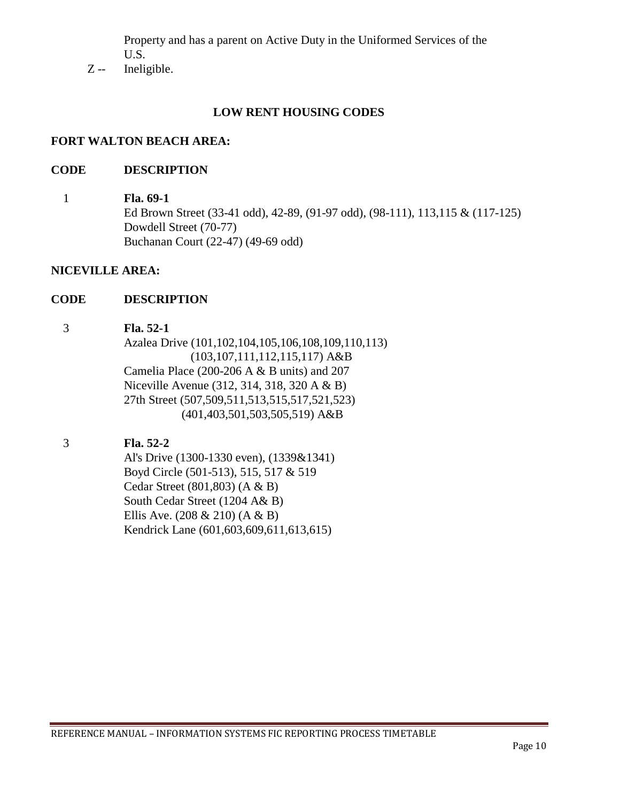Property and has a parent on Active Duty in the Uniformed Services of the U.S.

Z -- Ineligible.

## **LOW RENT HOUSING CODES**

#### **FORT WALTON BEACH AREA:**

#### **CODE DESCRIPTION**

#### 1 **Fla. 69-1**

Ed Brown Street (33-41 odd), 42-89, (91-97 odd), (98-111), 113,115 & (117-125) Dowdell Street (70-77) Buchanan Court (22-47) (49-69 odd)

#### **NICEVILLE AREA:**

#### **CODE DESCRIPTION**

#### 3 **Fla. 52-1**

Azalea Drive (101,102,104,105,106,108,109,110,113) (103,107,111,112,115,117) A&B Camelia Place (200-206 A & B units) and 207 Niceville Avenue (312, 314, 318, 320 A & B) 27th Street (507,509,511,513,515,517,521,523) (401,403,501,503,505,519) A&B

## 3 **Fla. 52-2**

Al's Drive (1300-1330 even), (1339&1341) Boyd Circle (501-513), 515, 517 & 519 Cedar Street (801,803) (A & B) South Cedar Street (1204 A& B) Ellis Ave. (208 & 210) (A & B) Kendrick Lane (601,603,609,611,613,615)